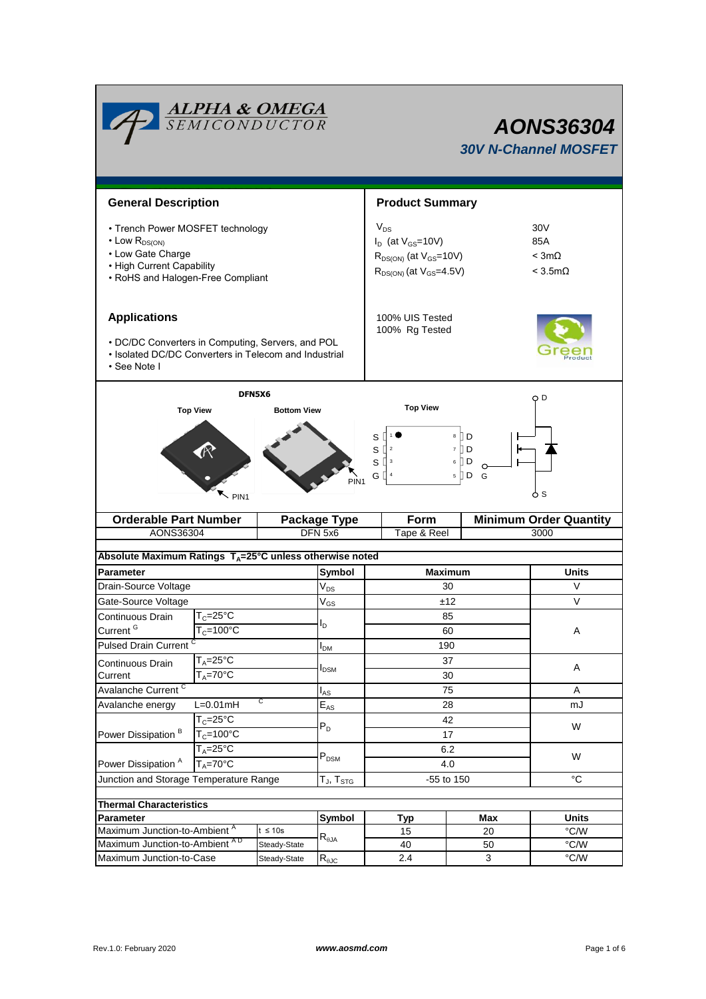|                                                                                                                                                                                                            | <b>ALPHA &amp; OMEGA</b><br>SEMICONDUCTOR     |                                   | <b>AONS36304</b><br><b>30V N-Channel MOSFET</b> |                                                                                                             |                                                                |              |  |  |
|------------------------------------------------------------------------------------------------------------------------------------------------------------------------------------------------------------|-----------------------------------------------|-----------------------------------|-------------------------------------------------|-------------------------------------------------------------------------------------------------------------|----------------------------------------------------------------|--------------|--|--|
| <b>General Description</b>                                                                                                                                                                                 |                                               |                                   | <b>Product Summary</b>                          |                                                                                                             |                                                                |              |  |  |
| • Trench Power MOSFET technology<br>$\cdot$ Low R <sub>DS(ON)</sub><br>• Low Gate Charge<br>• High Current Capability<br>• RoHS and Halogen-Free Compliant                                                 |                                               |                                   |                                                 | $V_{DS}$<br>$I_D$ (at $V_{GS}$ =10V)<br>$R_{DS(ON)}$ (at $V_{GS}$ =10V)<br>$R_{DS(ON)}$ (at $V_{GS}$ =4.5V) | 30 <sub>V</sub><br>85A<br>$<$ 3m $\Omega$<br>$<$ 3.5m $\Omega$ |              |  |  |
| <b>Applications</b><br>• DC/DC Converters in Computing, Servers, and POL<br>• Isolated DC/DC Converters in Telecom and Industrial<br>• See Note I                                                          |                                               | 100% UIS Tested<br>100% Rg Tested |                                                 |                                                                                                             |                                                                |              |  |  |
| DFN5X6<br>O D<br><b>Top View</b><br><b>Top View</b><br><b>Bottom View</b><br>8 ID<br>S<br>S<br>7 II D<br>sЦ<br>6    D<br>G $\Box$ 4<br>$5 \nparallel D$<br>G<br>PIN <sub>1</sub><br>ბs<br>PIN <sub>1</sub> |                                               |                                   |                                                 |                                                                                                             |                                                                |              |  |  |
| <b>Orderable Part Number</b>                                                                                                                                                                               |                                               | <b>Package Type</b>               | Form                                            |                                                                                                             | <b>Minimum Order Quantity</b>                                  |              |  |  |
| AONS36304                                                                                                                                                                                                  |                                               |                                   | DFN 5x6                                         | Tape & Reel                                                                                                 |                                                                | 3000         |  |  |
| Absolute Maximum Ratings $T_A = 25^\circ C$ unless otherwise noted                                                                                                                                         |                                               |                                   |                                                 |                                                                                                             |                                                                |              |  |  |
| <b>Parameter</b>                                                                                                                                                                                           |                                               |                                   | Symbol                                          | <b>Maximum</b>                                                                                              | <b>Units</b>                                                   |              |  |  |
| Drain-Source Voltage                                                                                                                                                                                       |                                               |                                   | $V_{DS}$                                        |                                                                                                             | V                                                              |              |  |  |
| Gate-Source Voltage                                                                                                                                                                                        |                                               |                                   | $V_{GS}$                                        | ±12                                                                                                         | $\vee$                                                         |              |  |  |
| Continuous Drain                                                                                                                                                                                           | $T_c = 25^\circ C$                            |                                   |                                                 |                                                                                                             |                                                                |              |  |  |
|                                                                                                                                                                                                            | Current <sup>G</sup><br>$T_c = 100^{\circ}$ C |                                   |                                                 |                                                                                                             | 60<br>190                                                      | Α            |  |  |
| <b>Pulsed Drain Current</b>                                                                                                                                                                                |                                               |                                   | I <sub>DM</sub>                                 |                                                                                                             |                                                                |              |  |  |
| Continuous Drain                                                                                                                                                                                           | $T_A = 25$ °C<br>$T_A = 70^\circ C$           |                                   | <b>I</b> <sub>DSM</sub>                         |                                                                                                             | 37<br>30                                                       | Α            |  |  |
| Avalanche Current <sup>C</sup>                                                                                                                                                                             | Current                                       |                                   |                                                 |                                                                                                             | A                                                              |              |  |  |
| С<br>$L=0.01mH$<br>Avalanche energy                                                                                                                                                                        |                                               |                                   | $I_{AS}$<br>$E_{AS}$                            |                                                                                                             | mJ                                                             |              |  |  |
| $T_c = 25^{\circ}C$                                                                                                                                                                                        |                                               |                                   |                                                 |                                                                                                             |                                                                |              |  |  |
| Power Dissipation <sup>B</sup>                                                                                                                                                                             | $T_c = 100^{\circ}C$                          |                                   | $P_D$                                           |                                                                                                             | 42<br>17                                                       | W            |  |  |
|                                                                                                                                                                                                            | $T_A = 25^\circ C$                            |                                   |                                                 | 6.2                                                                                                         |                                                                |              |  |  |
| $T_A = 70^\circ C$<br>Power Dissipation <sup>A</sup>                                                                                                                                                       |                                               |                                   | $\mathsf{P}_\mathsf{DSM}$                       | 4.0                                                                                                         | W                                                              |              |  |  |
| Junction and Storage Temperature Range<br>$T_{\text{J}}$ , $T_{\text{STG}}$                                                                                                                                |                                               |                                   |                                                 | -55 to 150                                                                                                  | $^{\circ}C$                                                    |              |  |  |
|                                                                                                                                                                                                            |                                               |                                   |                                                 |                                                                                                             |                                                                |              |  |  |
| <b>Thermal Characteristics</b>                                                                                                                                                                             | Parameter                                     |                                   |                                                 |                                                                                                             | Max                                                            | <b>Units</b> |  |  |
| Maximum Junction-to-Ambient <sup>A</sup><br>$t \leq 10s$                                                                                                                                                   |                                               | Symbol                            | <b>Typ</b><br>15                                | 20                                                                                                          | °C/W                                                           |              |  |  |
| Maximum Junction-to-Ambient AD                                                                                                                                                                             |                                               | Steady-State                      | $\mathsf{R}_{\theta\mathsf{JA}}$                | 40                                                                                                          | 50                                                             | °C/W         |  |  |
| Maximum Junction-to-Case                                                                                                                                                                                   |                                               | Steady-State                      | $R_{\theta$ JC                                  | 2.4                                                                                                         | 3                                                              | °C/W         |  |  |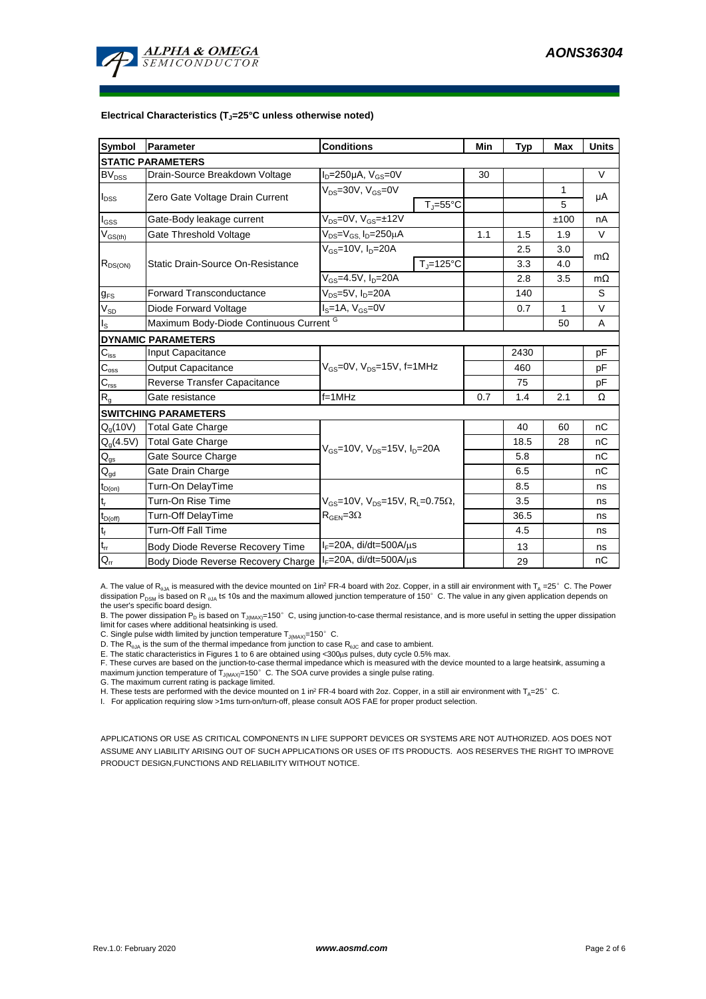

#### **Electrical Characteristics (TJ=25°C unless otherwise noted)**

| <b>Symbol</b>                          | Parameter                                          | <b>Conditions</b>                                                    | Min                | Typ  | <b>Max</b> | <b>Units</b> |           |  |  |  |  |  |
|----------------------------------------|----------------------------------------------------|----------------------------------------------------------------------|--------------------|------|------------|--------------|-----------|--|--|--|--|--|
| <b>STATIC PARAMETERS</b>               |                                                    |                                                                      |                    |      |            |              |           |  |  |  |  |  |
| <b>BV<sub>DSS</sub></b>                | Drain-Source Breakdown Voltage                     | $I_D = 250 \mu A$ , $V_{GS} = 0V$                                    |                    | 30   |            |              | $\vee$    |  |  |  |  |  |
| $I_{DSS}$                              | Zero Gate Voltage Drain Current                    | $V_{DS}$ =30V, $V_{GS}$ =0V<br>$T_i = 55^{\circ}C$                   |                    |      |            | 1            | μA        |  |  |  |  |  |
|                                        |                                                    |                                                                      |                    |      |            | 5            |           |  |  |  |  |  |
| $I_{GSS}$                              | Gate-Body leakage current                          | $V_{DS} = 0V$ , $V_{GS} = \pm 12V$                                   |                    |      |            | ±100         | nA        |  |  |  |  |  |
| $V_{GS(th)}$                           | Gate Threshold Voltage                             | $V_{DS} = V_{GS}$ , $I_D = 250 \mu A$                                |                    | 1.1  | 1.5        | 1.9          | $\vee$    |  |  |  |  |  |
| $R_{DS(ON)}$                           |                                                    | $V_{GS}$ =10V, $I_{D}$ =20A                                          |                    |      | 2.5        | 3.0          | $m\Omega$ |  |  |  |  |  |
|                                        | Static Drain-Source On-Resistance                  |                                                                      | $T_{\rm J}$ =125°C |      | 3.3        | 4.0          |           |  |  |  |  |  |
|                                        |                                                    | $V_{GS}$ =4.5V, $I_D$ =20A                                           |                    | 2.8  | 3.5        | $m\Omega$    |           |  |  |  |  |  |
| $g_{FS}$                               | <b>Forward Transconductance</b>                    | $V_{DS}$ =5V, $I_D$ =20A                                             |                    | 140  |            | S            |           |  |  |  |  |  |
| $V_{SD}$                               | Diode Forward Voltage                              | $I_S = 1A$ , $V_{GS} = 0V$                                           |                    | 0.7  | 1          | V            |           |  |  |  |  |  |
| $I_{\rm S}$                            | Maximum Body-Diode Continuous Current <sup>G</sup> |                                                                      |                    | 50   | A          |              |           |  |  |  |  |  |
| <b>DYNAMIC PARAMETERS</b>              |                                                    |                                                                      |                    |      |            |              |           |  |  |  |  |  |
| $C_{\text{iss}}$                       | Input Capacitance                                  |                                                                      |                    |      | 2430       |              | pF        |  |  |  |  |  |
| $C_{\rm oss}$                          | <b>Output Capacitance</b>                          | $V_{GS}$ =0V, $V_{DS}$ =15V, f=1MHz                                  |                    | 460  |            | pF           |           |  |  |  |  |  |
| $C_{\text{rss}}$                       | Reverse Transfer Capacitance                       |                                                                      |                    | 75   |            | pF           |           |  |  |  |  |  |
| $R_{q}$                                | Gate resistance                                    | $f = 1$ MHz                                                          |                    | 0.7  | 1.4        | 2.1          | Ω         |  |  |  |  |  |
|                                        | <b>SWITCHING PARAMETERS</b>                        |                                                                      |                    |      |            |              |           |  |  |  |  |  |
| $Q_q(10V)$                             | <b>Total Gate Charge</b>                           | $V_{\text{GS}} = 10V$ , $V_{\text{DS}} = 15V$ , $I_{\text{D}} = 20A$ |                    |      | 40         | 60           | nC        |  |  |  |  |  |
| $Q_g(4.5V)$                            | <b>Total Gate Charge</b>                           |                                                                      |                    |      | 18.5       | 28           | nC        |  |  |  |  |  |
| $Q_{gs}$                               | Gate Source Charge                                 |                                                                      |                    |      | 5.8        |              | nC        |  |  |  |  |  |
| $\mathsf{Q}_{\underline{\mathsf{gd}}}$ | Gate Drain Charge                                  |                                                                      |                    | 6.5  |            | nC           |           |  |  |  |  |  |
| $t_{D(0n)}$                            | Turn-On DelayTime                                  |                                                                      |                    |      | 8.5        |              | ns        |  |  |  |  |  |
| $t_r$                                  | Turn-On Rise Time                                  | $V_{GS}$ =10V, $V_{DS}$ =15V, R <sub>1</sub> =0.75 $\Omega$ ,        |                    |      | 3.5        |              | ns        |  |  |  |  |  |
| $t_{D(off)}$                           | Turn-Off DelayTime                                 | $R_{\text{GEN}} = 3\Omega$                                           |                    | 36.5 |            | ns           |           |  |  |  |  |  |
| $\mathsf{t}_{\mathsf{f}}$              | Turn-Off Fall Time                                 |                                                                      |                    | 4.5  |            | ns           |           |  |  |  |  |  |
| $t_{rr}$                               | Body Diode Reverse Recovery Time                   | $I_F = 20A$ , di/dt=500A/ $\mu$ s                                    |                    |      | 13         |              | ns        |  |  |  |  |  |
| $Q_{rr}$                               | Body Diode Reverse Recovery Charge                 | $I_F = 20A$ , di/dt=500A/us                                          |                    |      | 29         |              | nC        |  |  |  |  |  |

A. The value of R<sub>BJA</sub> is measured with the device mounted on 1in<sup>2</sup> FR-4 board with 2oz. Copper, in a still air environment with T<sub>A</sub> =25° C. The Power dissipation P<sub>DSM</sub> is based on R <sub>6JA</sub> t≤ 10s and the maximum allowed junction temperature of 150°C. The value in any given application depends on the user's specific board design.

B. The power dissipation P<sub>D</sub> is based on T<sub>J(MAX)</sub>=150°C, using junction-to-case thermal resistance, and is more useful in setting the upper dissipation limit for cases where additional heatsinking is used.

C. Single pulse width limited by junction temperature  $T_{J(MAX)}$ =150° C.

D. The R<sub>6JA</sub> is the sum of the thermal impedance from junction to case R<sub>6JC</sub> and case to ambient.<br>E. The static characteristics in Figures 1 to 6 are obtained using <300µs pulses, duty cycle 0.5% max.

F. These curves are based on the junction-to-case thermal impedance which is measured with the device mounted to a large heatsink, assuming a maximum junction temperature of  $T_{J(MAX)}$ =150°C. The SOA curve provides a single pulse rating.

G. The maximum current rating is package limited.

H. These tests are performed with the device mounted on 1 in<sup>2</sup> FR-4 board with 2oz. Copper, in a still air environment with  $T_A=25^\circ$  C.

I. For application requiring slow >1ms turn-on/turn-off, please consult AOS FAE for proper product selection.

APPLICATIONS OR USE AS CRITICAL COMPONENTS IN LIFE SUPPORT DEVICES OR SYSTEMS ARE NOT AUTHORIZED. AOS DOES NOT ASSUME ANY LIABILITY ARISING OUT OF SUCH APPLICATIONS OR USES OF ITS PRODUCTS. AOS RESERVES THE RIGHT TO IMPROVE PRODUCT DESIGN,FUNCTIONS AND RELIABILITY WITHOUT NOTICE.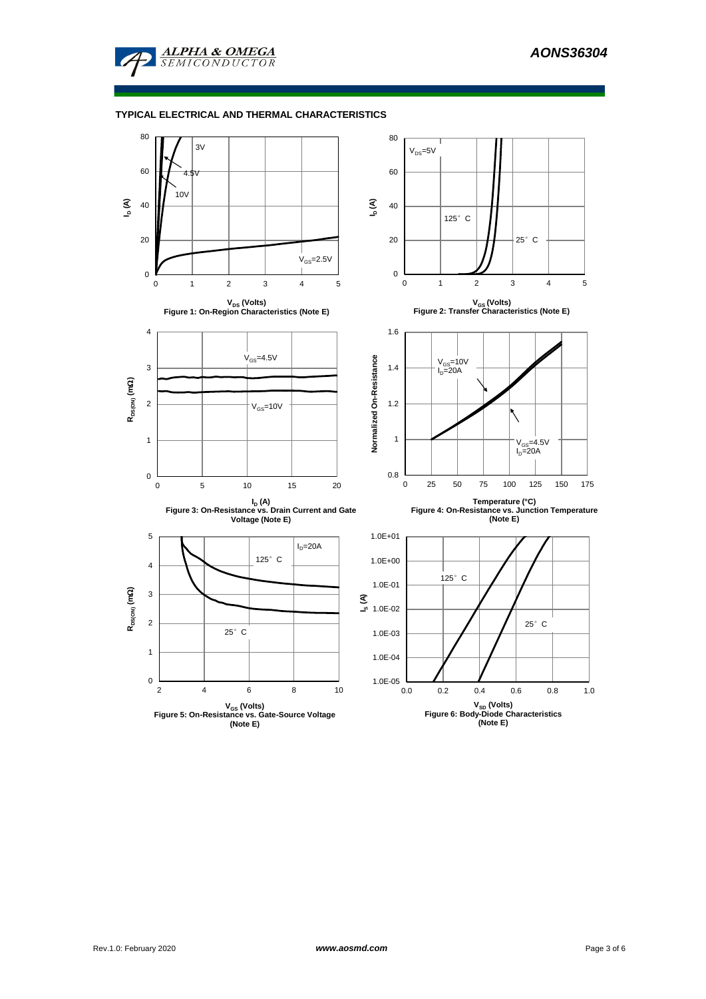

# **TYPICAL ELECTRICAL AND THERMAL CHARACTERISTICS**

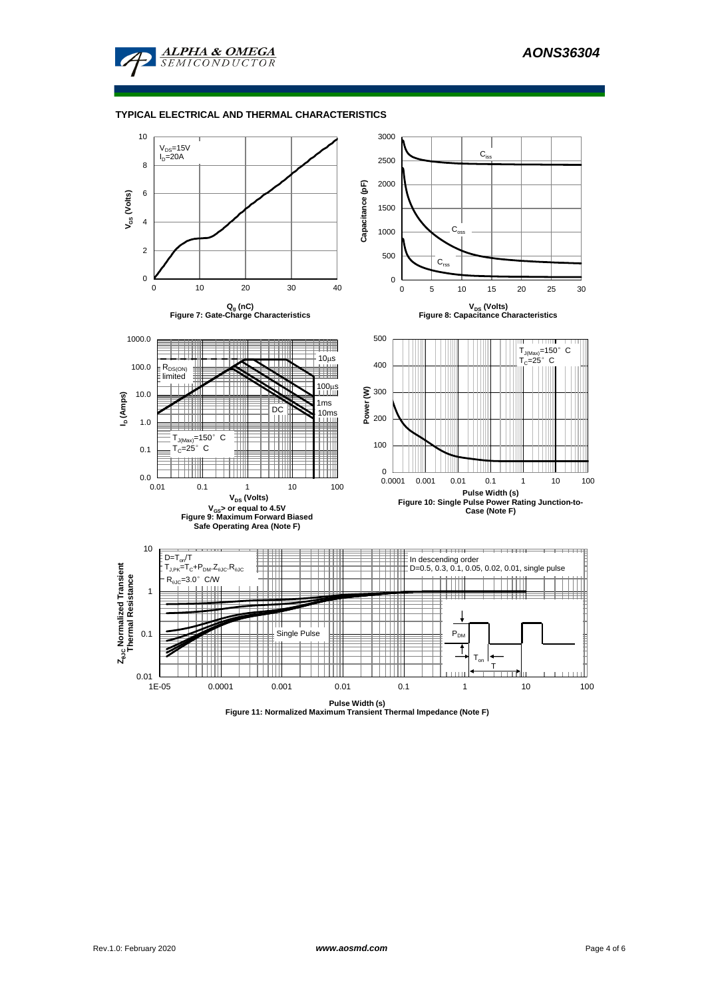

#### **TYPICAL ELECTRICAL AND THERMAL CHARACTERISTICS**

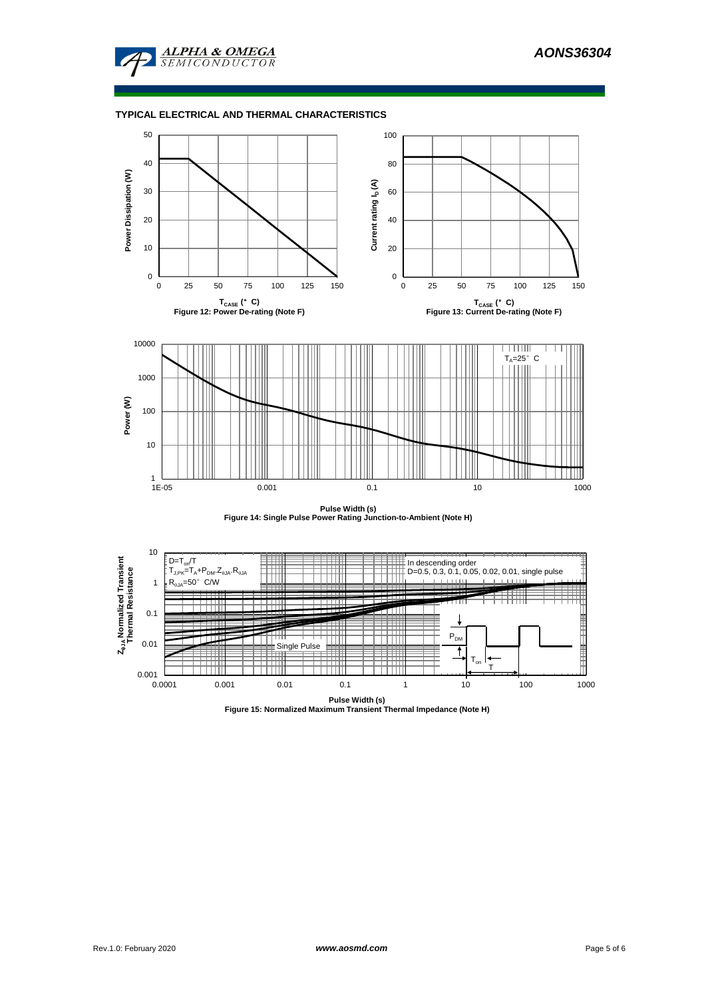

# **TYPICAL ELECTRICAL AND THERMAL CHARACTERISTICS**



**Pulse Width (s) Figure 14: Single Pulse Power Rating Junction-to-Ambient (Note H)**



**Pulse Width (s) Figure 15: Normalized Maximum Transient Thermal Impedance (Note H)**